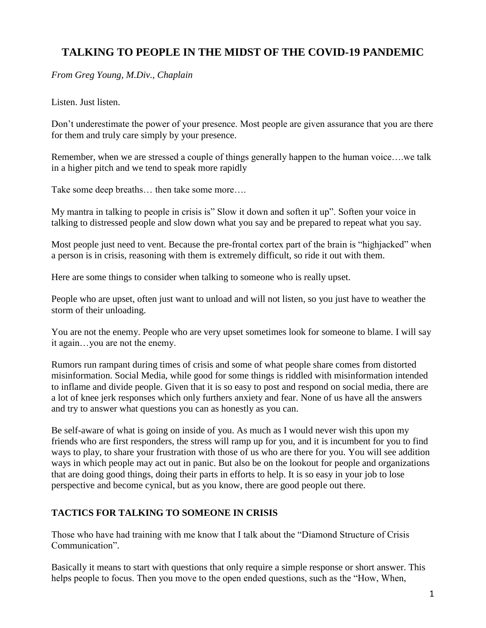## **TALKING TO PEOPLE IN THE MIDST OF THE COVID-19 PANDEMIC**

*From Greg Young, M.Div., Chaplain*

Listen. Just listen.

Don't underestimate the power of your presence. Most people are given assurance that you are there for them and truly care simply by your presence.

Remember, when we are stressed a couple of things generally happen to the human voice….we talk in a higher pitch and we tend to speak more rapidly

Take some deep breaths… then take some more….

My mantra in talking to people in crisis is" Slow it down and soften it up". Soften your voice in talking to distressed people and slow down what you say and be prepared to repeat what you say.

Most people just need to vent. Because the pre-frontal cortex part of the brain is "highjacked" when a person is in crisis, reasoning with them is extremely difficult, so ride it out with them.

Here are some things to consider when talking to someone who is really upset.

People who are upset, often just want to unload and will not listen, so you just have to weather the storm of their unloading.

You are not the enemy. People who are very upset sometimes look for someone to blame. I will say it again…you are not the enemy.

Rumors run rampant during times of crisis and some of what people share comes from distorted misinformation. Social Media, while good for some things is riddled with misinformation intended to inflame and divide people. Given that it is so easy to post and respond on social media, there are a lot of knee jerk responses which only furthers anxiety and fear. None of us have all the answers and try to answer what questions you can as honestly as you can.

Be self-aware of what is going on inside of you. As much as I would never wish this upon my friends who are first responders, the stress will ramp up for you, and it is incumbent for you to find ways to play, to share your frustration with those of us who are there for you. You will see addition ways in which people may act out in panic. But also be on the lookout for people and organizations that are doing good things, doing their parts in efforts to help. It is so easy in your job to lose perspective and become cynical, but as you know, there are good people out there.

## **TACTICS FOR TALKING TO SOMEONE IN CRISIS**

Those who have had training with me know that I talk about the "Diamond Structure of Crisis Communication".

Basically it means to start with questions that only require a simple response or short answer. This helps people to focus. Then you move to the open ended questions, such as the "How, When,